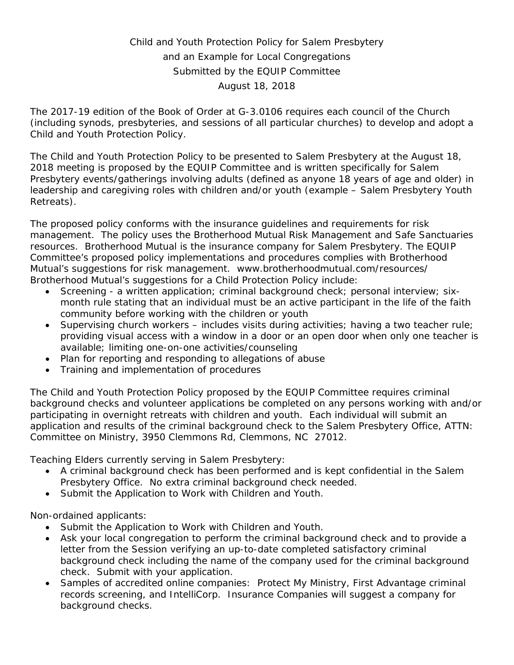# Child and Youth Protection Policy for Salem Presbytery and an Example for Local Congregations Submitted by the EQUIP Committee August 18, 2018

The 2017-19 edition of the Book of Order at G-3.0106 requires each council of the Church (including synods, presbyteries, and sessions of all particular churches) to develop and adopt a Child and Youth Protection Policy.

The Child and Youth Protection Policy to be presented to Salem Presbytery at the August 18, 2018 meeting is proposed by the EQUIP Committee and is written specifically for Salem Presbytery events/gatherings involving adults (defined as anyone 18 years of age and older) in leadership and caregiving roles with children and/or youth (example – Salem Presbytery Youth Retreats).

The proposed policy conforms with the insurance guidelines and requirements for risk management. The policy uses the Brotherhood Mutual Risk Management and Safe Sanctuaries resources. Brotherhood Mutual is the insurance company for Salem Presbytery. The EQUIP Committee's proposed policy implementations and procedures complies with Brotherhood Mutual's suggestions for risk management. www.brotherhoodmutual.com/resources/ Brotherhood Mutual's suggestions for a Child Protection Policy include:

- Screening a written application; criminal background check; personal interview; sixmonth rule stating that an individual must be an active participant in the life of the faith community before working with the children or youth
- Supervising church workers includes visits during activities; having a two teacher rule; providing visual access with a window in a door or an open door when only one teacher is available; limiting one-on-one activities/counseling
- Plan for reporting and responding to allegations of abuse
- Training and implementation of procedures

The Child and Youth Protection Policy proposed by the EQUIP Committee requires criminal background checks and volunteer applications be completed on any persons working with and/or participating in overnight retreats with children and youth. Each individual will submit an application and results of the criminal background check to the Salem Presbytery Office, ATTN: Committee on Ministry, 3950 Clemmons Rd, Clemmons, NC 27012.

Teaching Elders currently serving in Salem Presbytery:

- A criminal background check has been performed and is kept confidential in the Salem Presbytery Office. No extra criminal background check needed.
- Submit the Application to Work with Children and Youth.

Non-ordained applicants:

- Submit the Application to Work with Children and Youth.
- Ask your local congregation to perform the criminal background check and to provide a letter from the Session verifying an up-to-date completed satisfactory criminal background check including the name of the company used for the criminal background check. Submit with your application.
- Samples of accredited online companies: Protect My Ministry, First Advantage criminal records screening, and IntelliCorp. Insurance Companies will suggest a company for background checks.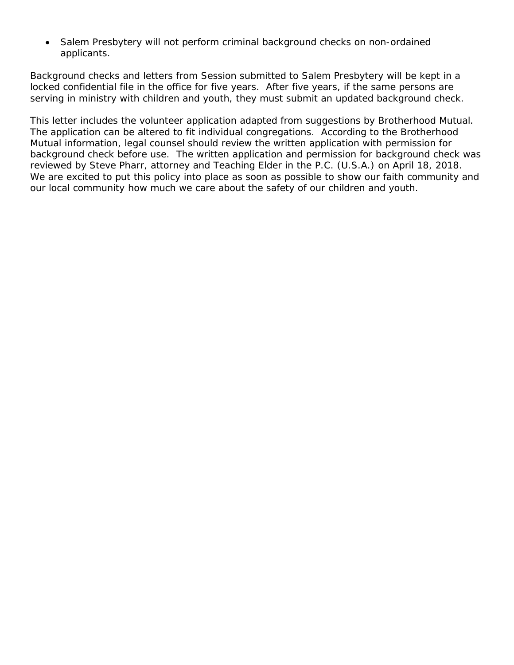• Salem Presbytery will not perform criminal background checks on non-ordained applicants.

Background checks and letters from Session submitted to Salem Presbytery will be kept in a locked confidential file in the office for five years. After five years, if the same persons are serving in ministry with children and youth, they must submit an updated background check.

This letter includes the volunteer application adapted from suggestions by Brotherhood Mutual. The application can be altered to fit individual congregations. According to the Brotherhood Mutual information, legal counsel should review the written application with permission for background check before use. The written application and permission for background check was reviewed by Steve Pharr, attorney and Teaching Elder in the P.C. (U.S.A.) on April 18, 2018. We are excited to put this policy into place as soon as possible to show our faith community and our local community how much we care about the safety of our children and youth.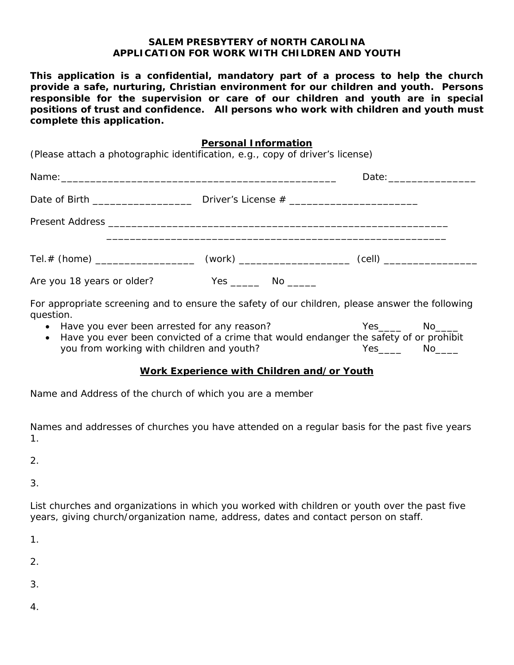#### **SALEM PRESBYTERY of NORTH CAROLINA APPLICATION FOR WORK WITH CHILDREN AND YOUTH**

**This application is a confidential, mandatory part of a process to help the church provide a safe, nurturing, Christian environment for our children and youth. Persons responsible for the supervision or care of our children and youth are in special positions of trust and confidence. All persons who work with children and youth must complete this application.**

#### **Personal Information**

(Please attach a photographic identification, e.g., copy of driver's license)

| Date of Birth ___________________ |                          |  |
|-----------------------------------|--------------------------|--|
|                                   |                          |  |
|                                   |                          |  |
| Are you 18 years or older?        | Yes ________ No ________ |  |

For appropriate screening and to ensure the safety of our children, please answer the following question.

• Have you ever been arrested for any reason?  $Yes$  Yes No • Have you ever been convicted of a crime that would endanger the safety of or prohibit you from working with children and youth? The Mesiles of No Yes Mo

#### **Work Experience with Children and/or Youth**

Name and Address of the church of which you are a member

Names and addresses of churches you have attended on a regular basis for the past five years 1.

2.

3.

List churches and organizations in which you worked with children or youth over the past five years, giving church/organization name, address, dates and contact person on staff.

1.

2.

3.

4.